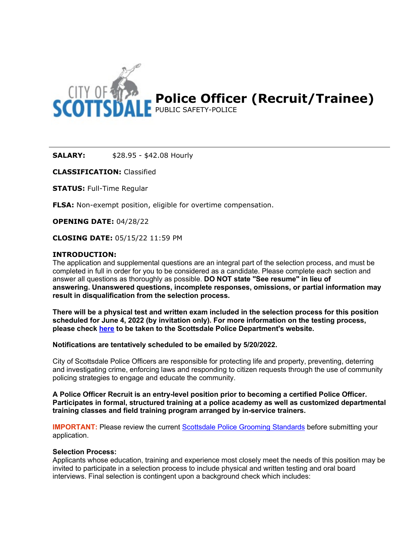

**SALARY:** \$28.95 - \$42.08 Hourly

**CLASSIFICATION:** Classified

**STATUS:** Full-Time Regular

**FLSA:** Non-exempt position, eligible for overtime compensation.

**OPENING DATE:** 04/28/22

**CLOSING DATE:** 05/15/22 11:59 PM

### **INTRODUCTION:**

The application and supplemental questions are an integral part of the selection process, and must be completed in full in order for you to be considered as a candidate. Please complete each section and answer all questions as thoroughly as possible. **DO NOT state "See resume" in lieu of answering. Unanswered questions, incomplete responses, omissions, or partial information may result in disqualification from the selection process.** 

**There will be a physical test and written exam included in the selection process for this position scheduled for June 4, 2022 (by invitation only). For more information on the testing process, please check [here](http://www.scottsdaleaz.gov/police/join-scottsdale-pd/police-officer) to be taken to the Scottsdale Police Department's website.**

**Notifications are tentatively scheduled to be emailed by 5/20/2022.**

City of Scottsdale Police Officers are responsible for protecting life and property, preventing, deterring and investigating crime, enforcing laws and responding to citizen requests through the use of community policing strategies to engage and educate the community.

**A Police Officer Recruit is an entry-level position prior to becoming a certified Police Officer. Participates in formal, structured training at a police academy as well as customized departmental training classes and field training program arranged by in-service trainers.**

**IMPORTANT:** Please review the current [Scottsdale Police Grooming Standards](https://www.scottsdaleaz.gov/police/join-scottsdale-pd#dis) before submitting your application.

#### **Selection Process:**

Applicants whose education, training and experience most closely meet the needs of this position may be invited to participate in a selection process to include physical and written testing and oral board interviews. Final selection is contingent upon a background check which includes: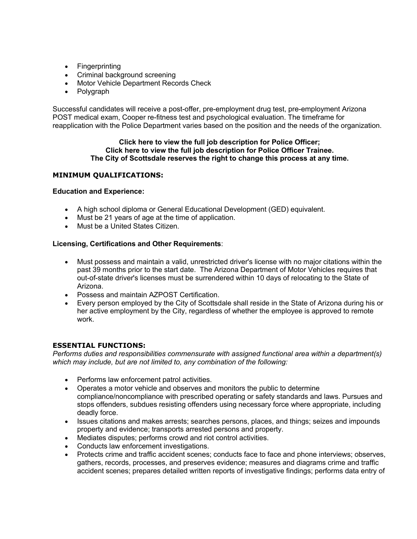- Fingerprinting
- Criminal background screening
- Motor Vehicle Department Records Check
- Polygraph

Successful candidates will receive a post-offer, pre-employment drug test, pre-employment Arizona POST medical exam, Cooper re-fitness test and psychological evaluation. The timeframe for reapplication with the Police Department varies based on the position and the needs of the organization.

#### **Click [here](http://agency.governmentjobs.com/scottsdaleaz/default.cfm?action=specbulletin&ClassSpecID=761373&headerfooter=0) to view the full job description for Police Officer; Click [here](https://agency.governmentjobs.com/scottsdaleaz/default.cfm?action=specbulletin&ClassSpecID=761397&headerfooter=0) to view the full job description for Police Officer Trainee. The City of Scottsdale reserves the right to change this process at any time.**

# **MINIMUM QUALIFICATIONS:**

### **Education and Experience:**

- A high school diploma or General Educational Development (GED) equivalent.
- Must be 21 years of age at the time of application.
- Must be a United States Citizen.

# **Licensing, Certifications and Other Requirements**:

- Must possess and maintain a valid, unrestricted driver's license with no major citations within the past 39 months prior to the start date. The Arizona Department of Motor Vehicles requires that out-of-state driver's licenses must be surrendered within 10 days of relocating to the State of Arizona.
- Possess and maintain AZPOST Certification.
- Every person employed by the City of Scottsdale shall reside in the State of Arizona during his or her active employment by the City, regardless of whether the employee is approved to remote work.

# **ESSENTIAL FUNCTIONS:**

*Performs duties and responsibilities commensurate with assigned functional area within a department(s) which may include, but are not limited to, any combination of the following:*

- Performs law enforcement patrol activities.
- Operates a motor vehicle and observes and monitors the public to determine compliance/noncompliance with prescribed operating or safety standards and laws. Pursues and stops offenders, subdues resisting offenders using necessary force where appropriate, including deadly force.
- Issues citations and makes arrests; searches persons, places, and things; seizes and impounds property and evidence; transports arrested persons and property.
- Mediates disputes; performs crowd and riot control activities.
- Conducts law enforcement investigations.
- Protects crime and traffic accident scenes; conducts face to face and phone interviews; observes, gathers, records, processes, and preserves evidence; measures and diagrams crime and traffic accident scenes; prepares detailed written reports of investigative findings; performs data entry of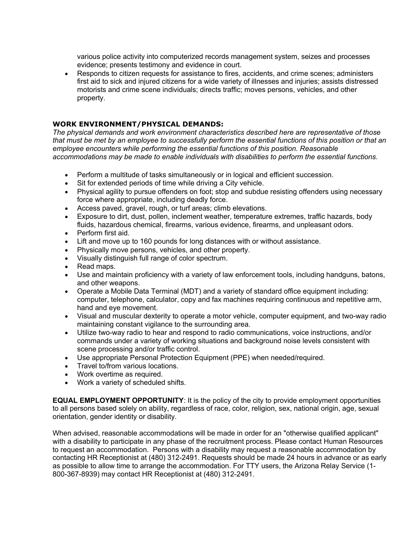various police activity into computerized records management system, seizes and processes evidence; presents testimony and evidence in court.

• Responds to citizen requests for assistance to fires, accidents, and crime scenes; administers first aid to sick and injured citizens for a wide variety of illnesses and injuries; assists distressed motorists and crime scene individuals; directs traffic; moves persons, vehicles, and other property.

# **WORK ENVIRONMENT/PHYSICAL DEMANDS:**

*The physical demands and work environment characteristics described here are representative of those that must be met by an employee to successfully perform the essential functions of this position or that an employee encounters while performing the essential functions of this position. Reasonable accommodations may be made to enable individuals with disabilities to perform the essential functions.*

- Perform a multitude of tasks simultaneously or in logical and efficient succession.
- Sit for extended periods of time while driving a City vehicle.
- Physical agility to pursue offenders on foot; stop and subdue resisting offenders using necessary force where appropriate, including deadly force.
- Access paved, gravel, rough, or turf areas; climb elevations.
- Exposure to dirt, dust, pollen, inclement weather, temperature extremes, traffic hazards, body fluids, hazardous chemical, firearms, various evidence, firearms, and unpleasant odors.
- Perform first aid.
- Lift and move up to 160 pounds for long distances with or without assistance.
- Physically move persons, vehicles, and other property.
- Visually distinguish full range of color spectrum.
- Read maps.
- Use and maintain proficiency with a variety of law enforcement tools, including handguns, batons, and other weapons.
- Operate a Mobile Data Terminal (MDT) and a variety of standard office equipment including: computer, telephone, calculator, copy and fax machines requiring continuous and repetitive arm, hand and eye movement.
- Visual and muscular dexterity to operate a motor vehicle, computer equipment, and two-way radio maintaining constant vigilance to the surrounding area.
- Utilize two-way radio to hear and respond to radio communications, voice instructions, and/or commands under a variety of working situations and background noise levels consistent with scene processing and/or traffic control.
- Use appropriate Personal Protection Equipment (PPE) when needed/required.
- Travel to/from various locations.
- Work overtime as required.
- Work a variety of scheduled shifts.

**EQUAL EMPLOYMENT OPPORTUNITY**: It is the policy of the city to provide employment opportunities to all persons based solely on ability, regardless of race, color, religion, sex, national origin, age, sexual orientation, gender identity or disability.

When advised, reasonable accommodations will be made in order for an "otherwise qualified applicant" with a disability to participate in any phase of the recruitment process. Please contact Human Resources to request an accommodation. Persons with a disability may request a reasonable accommodation by contacting HR Receptionist at (480) 312-2491. Requests should be made 24 hours in advance or as early as possible to allow time to arrange the accommodation. For TTY users, the Arizona Relay Service (1- 800-367-8939) may contact HR Receptionist at (480) 312-2491.